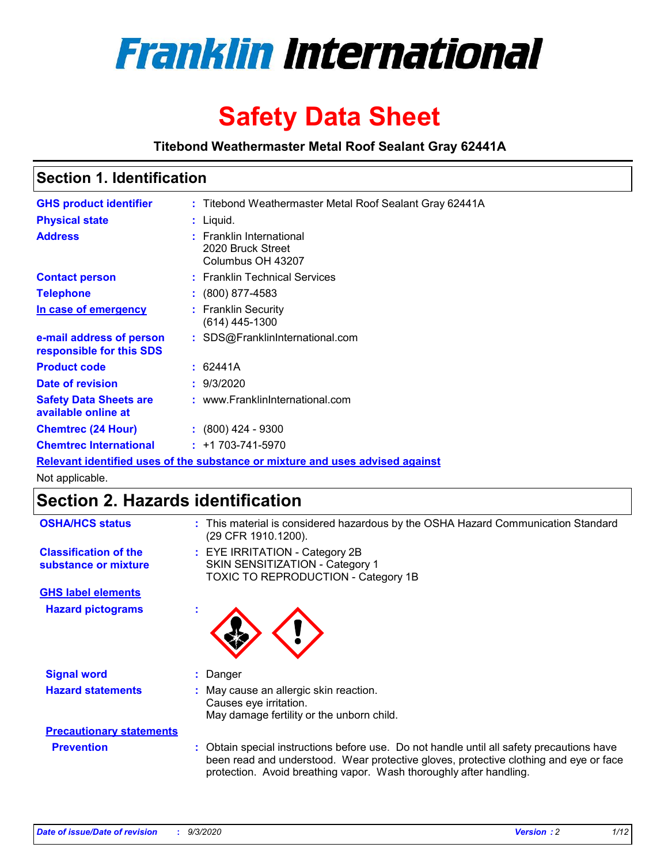

# **Safety Data Sheet**

**Titebond Weathermaster Metal Roof Sealant Gray 62441A**

## **Section 1. Identification**

| <b>GHS product identifier</b>                                                 |  | : Titebond Weathermaster Metal Roof Sealant Gray 62441A            |  |  |
|-------------------------------------------------------------------------------|--|--------------------------------------------------------------------|--|--|
| <b>Physical state</b>                                                         |  | : Liquid.                                                          |  |  |
| <b>Address</b>                                                                |  | : Franklin International<br>2020 Bruck Street<br>Columbus OH 43207 |  |  |
| <b>Contact person</b>                                                         |  | : Franklin Technical Services                                      |  |  |
| <b>Telephone</b>                                                              |  | $\div$ (800) 877-4583                                              |  |  |
| In case of emergency                                                          |  | : Franklin Security<br>(614) 445-1300                              |  |  |
| e-mail address of person<br>responsible for this SDS                          |  | : SDS@FranklinInternational.com                                    |  |  |
| <b>Product code</b>                                                           |  | : 62441A                                                           |  |  |
| Date of revision                                                              |  | : 9/3/2020                                                         |  |  |
| <b>Safety Data Sheets are</b><br>available online at                          |  | : www.FranklinInternational.com                                    |  |  |
| <b>Chemtrec (24 Hour)</b>                                                     |  | $: (800)$ 424 - 9300                                               |  |  |
| <b>Chemtrec International</b>                                                 |  | $: +1703 - 741 - 5970$                                             |  |  |
| Relevant identified uses of the substance or mixture and uses advised against |  |                                                                    |  |  |

Not applicable.

# **Section 2. Hazards identification**

| <b>OSHA/HCS status</b>                               |    | : This material is considered hazardous by the OSHA Hazard Communication Standard<br>(29 CFR 1910.1200).                                                                                                                                                 |  |  |  |
|------------------------------------------------------|----|----------------------------------------------------------------------------------------------------------------------------------------------------------------------------------------------------------------------------------------------------------|--|--|--|
| <b>Classification of the</b><br>substance or mixture |    | : EYE IRRITATION - Category 2B<br>SKIN SENSITIZATION - Category 1<br>TOXIC TO REPRODUCTION - Category 1B                                                                                                                                                 |  |  |  |
| <b>GHS label elements</b>                            |    |                                                                                                                                                                                                                                                          |  |  |  |
| <b>Hazard pictograms</b>                             | ×. |                                                                                                                                                                                                                                                          |  |  |  |
| <b>Signal word</b>                                   | ÷. | Danger                                                                                                                                                                                                                                                   |  |  |  |
| <b>Hazard statements</b>                             |    | May cause an allergic skin reaction.<br>Causes eye irritation.<br>May damage fertility or the unborn child.                                                                                                                                              |  |  |  |
| <b>Precautionary statements</b>                      |    |                                                                                                                                                                                                                                                          |  |  |  |
| <b>Prevention</b>                                    |    | : Obtain special instructions before use. Do not handle until all safety precautions have<br>been read and understood. Wear protective gloves, protective clothing and eye or face<br>protection. Avoid breathing vapor. Wash thoroughly after handling. |  |  |  |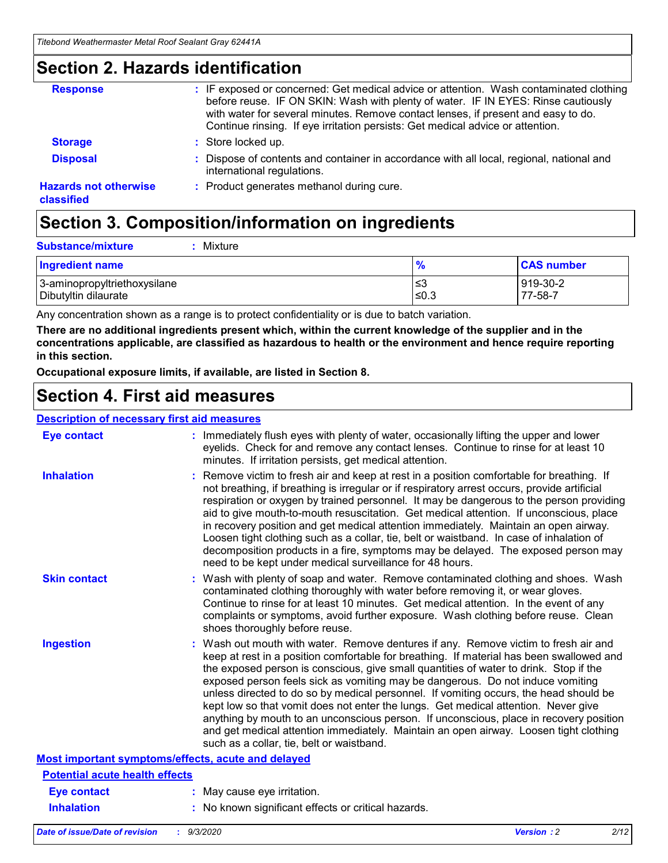# **Section 2. Hazards identification**

| <b>Response</b>                            | : IF exposed or concerned: Get medical advice or attention. Wash contaminated clothing<br>before reuse. IF ON SKIN: Wash with plenty of water. IF IN EYES: Rinse cautiously<br>with water for several minutes. Remove contact lenses, if present and easy to do.<br>Continue rinsing. If eye irritation persists: Get medical advice or attention. |
|--------------------------------------------|----------------------------------------------------------------------------------------------------------------------------------------------------------------------------------------------------------------------------------------------------------------------------------------------------------------------------------------------------|
| <b>Storage</b>                             | : Store locked up.                                                                                                                                                                                                                                                                                                                                 |
| <b>Disposal</b>                            | : Dispose of contents and container in accordance with all local, regional, national and<br>international regulations.                                                                                                                                                                                                                             |
| <b>Hazards not otherwise</b><br>classified | : Product generates methanol during cure.                                                                                                                                                                                                                                                                                                          |

# **Section 3. Composition/information on ingredients**

| : Mixture |
|-----------|
|           |

| <b>Ingredient name</b>       | $\frac{9}{6}$ | <b>CAS number</b> |
|------------------------------|---------------|-------------------|
| 3-aminopropyltriethoxysilane | צ≥            | 919-30-2          |
| Dibutyltin dilaurate         | ≤0.3          | 77-58-7           |

Any concentration shown as a range is to protect confidentiality or is due to batch variation.

**There are no additional ingredients present which, within the current knowledge of the supplier and in the concentrations applicable, are classified as hazardous to health or the environment and hence require reporting in this section.**

**Occupational exposure limits, if available, are listed in Section 8.**

# **Section 4. First aid measures**

| <b>Description of necessary first aid measures</b> |                                                                                                                                                                                                                                                                                                                                                                                                                                                                                                                                                                                                                                                                                                                                                                           |
|----------------------------------------------------|---------------------------------------------------------------------------------------------------------------------------------------------------------------------------------------------------------------------------------------------------------------------------------------------------------------------------------------------------------------------------------------------------------------------------------------------------------------------------------------------------------------------------------------------------------------------------------------------------------------------------------------------------------------------------------------------------------------------------------------------------------------------------|
| <b>Eye contact</b>                                 | : Immediately flush eyes with plenty of water, occasionally lifting the upper and lower<br>eyelids. Check for and remove any contact lenses. Continue to rinse for at least 10<br>minutes. If irritation persists, get medical attention.                                                                                                                                                                                                                                                                                                                                                                                                                                                                                                                                 |
| <b>Inhalation</b>                                  | : Remove victim to fresh air and keep at rest in a position comfortable for breathing. If<br>not breathing, if breathing is irregular or if respiratory arrest occurs, provide artificial<br>respiration or oxygen by trained personnel. It may be dangerous to the person providing<br>aid to give mouth-to-mouth resuscitation. Get medical attention. If unconscious, place<br>in recovery position and get medical attention immediately. Maintain an open airway.<br>Loosen tight clothing such as a collar, tie, belt or waistband. In case of inhalation of<br>decomposition products in a fire, symptoms may be delayed. The exposed person may<br>need to be kept under medical surveillance for 48 hours.                                                       |
| <b>Skin contact</b>                                | : Wash with plenty of soap and water. Remove contaminated clothing and shoes. Wash<br>contaminated clothing thoroughly with water before removing it, or wear gloves.<br>Continue to rinse for at least 10 minutes. Get medical attention. In the event of any<br>complaints or symptoms, avoid further exposure. Wash clothing before reuse. Clean<br>shoes thoroughly before reuse.                                                                                                                                                                                                                                                                                                                                                                                     |
| <b>Ingestion</b>                                   | : Wash out mouth with water. Remove dentures if any. Remove victim to fresh air and<br>keep at rest in a position comfortable for breathing. If material has been swallowed and<br>the exposed person is conscious, give small quantities of water to drink. Stop if the<br>exposed person feels sick as vomiting may be dangerous. Do not induce vomiting<br>unless directed to do so by medical personnel. If vomiting occurs, the head should be<br>kept low so that vomit does not enter the lungs. Get medical attention. Never give<br>anything by mouth to an unconscious person. If unconscious, place in recovery position<br>and get medical attention immediately. Maintain an open airway. Loosen tight clothing<br>such as a collar, tie, belt or waistband. |
| Most important symptoms/effects, acute and delayed |                                                                                                                                                                                                                                                                                                                                                                                                                                                                                                                                                                                                                                                                                                                                                                           |
| <b>Potential acute health effects</b>              |                                                                                                                                                                                                                                                                                                                                                                                                                                                                                                                                                                                                                                                                                                                                                                           |
| <b>Eye contact</b>                                 | : May cause eye irritation.                                                                                                                                                                                                                                                                                                                                                                                                                                                                                                                                                                                                                                                                                                                                               |
| <b>Inhalation</b>                                  | : No known significant effects or critical hazards.                                                                                                                                                                                                                                                                                                                                                                                                                                                                                                                                                                                                                                                                                                                       |
|                                                    |                                                                                                                                                                                                                                                                                                                                                                                                                                                                                                                                                                                                                                                                                                                                                                           |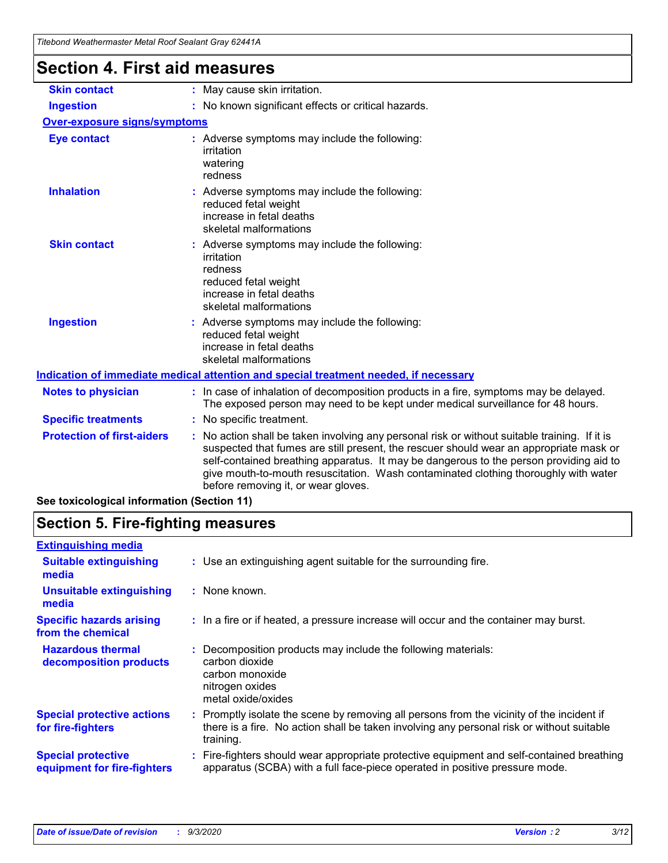| Titebond Weathermaster Metal Roof Sealant Gray 62441A |                                                                                                                                                                                                                                                                                                                                                                                                               |  |
|-------------------------------------------------------|---------------------------------------------------------------------------------------------------------------------------------------------------------------------------------------------------------------------------------------------------------------------------------------------------------------------------------------------------------------------------------------------------------------|--|
| <b>Section 4. First aid measures</b>                  |                                                                                                                                                                                                                                                                                                                                                                                                               |  |
| <b>Skin contact</b>                                   | : May cause skin irritation.                                                                                                                                                                                                                                                                                                                                                                                  |  |
| <b>Ingestion</b>                                      | : No known significant effects or critical hazards.                                                                                                                                                                                                                                                                                                                                                           |  |
| Over-exposure signs/symptoms                          |                                                                                                                                                                                                                                                                                                                                                                                                               |  |
| <b>Eye contact</b>                                    | : Adverse symptoms may include the following:<br>irritation<br>watering<br>redness                                                                                                                                                                                                                                                                                                                            |  |
| <b>Inhalation</b>                                     | : Adverse symptoms may include the following:<br>reduced fetal weight<br>increase in fetal deaths<br>skeletal malformations                                                                                                                                                                                                                                                                                   |  |
| <b>Skin contact</b>                                   | : Adverse symptoms may include the following:<br>irritation<br>redness<br>reduced fetal weight<br>increase in fetal deaths<br>skeletal malformations                                                                                                                                                                                                                                                          |  |
| <b>Ingestion</b>                                      | Adverse symptoms may include the following:<br>reduced fetal weight<br>increase in fetal deaths<br>skeletal malformations                                                                                                                                                                                                                                                                                     |  |
|                                                       | Indication of immediate medical attention and special treatment needed, if necessary                                                                                                                                                                                                                                                                                                                          |  |
| <b>Notes to physician</b>                             | : In case of inhalation of decomposition products in a fire, symptoms may be delayed.<br>The exposed person may need to be kept under medical surveillance for 48 hours.                                                                                                                                                                                                                                      |  |
| <b>Specific treatments</b>                            | : No specific treatment.                                                                                                                                                                                                                                                                                                                                                                                      |  |
| <b>Protection of first-aiders</b>                     | No action shall be taken involving any personal risk or without suitable training. If it is<br>suspected that fumes are still present, the rescuer should wear an appropriate mask or<br>self-contained breathing apparatus. It may be dangerous to the person providing aid to<br>give mouth-to-mouth resuscitation. Wash contaminated clothing thoroughly with water<br>before removing it, or wear gloves. |  |

**See toxicological information (Section 11)**

# **Section 5. Fire-fighting measures**

| <b>Extinguishing media</b>                               |                                                                                                                                                                                                   |
|----------------------------------------------------------|---------------------------------------------------------------------------------------------------------------------------------------------------------------------------------------------------|
| <b>Suitable extinguishing</b><br>media                   | : Use an extinguishing agent suitable for the surrounding fire.                                                                                                                                   |
| <b>Unsuitable extinguishing</b><br>media                 | : None known.                                                                                                                                                                                     |
| <b>Specific hazards arising</b><br>from the chemical     | : In a fire or if heated, a pressure increase will occur and the container may burst.                                                                                                             |
| <b>Hazardous thermal</b><br>decomposition products       | Decomposition products may include the following materials:<br>carbon dioxide<br>carbon monoxide<br>nitrogen oxides<br>metal oxide/oxides                                                         |
| <b>Special protective actions</b><br>for fire-fighters   | Promptly isolate the scene by removing all persons from the vicinity of the incident if<br>there is a fire. No action shall be taken involving any personal risk or without suitable<br>training. |
| <b>Special protective</b><br>equipment for fire-fighters | Fire-fighters should wear appropriate protective equipment and self-contained breathing<br>apparatus (SCBA) with a full face-piece operated in positive pressure mode.                            |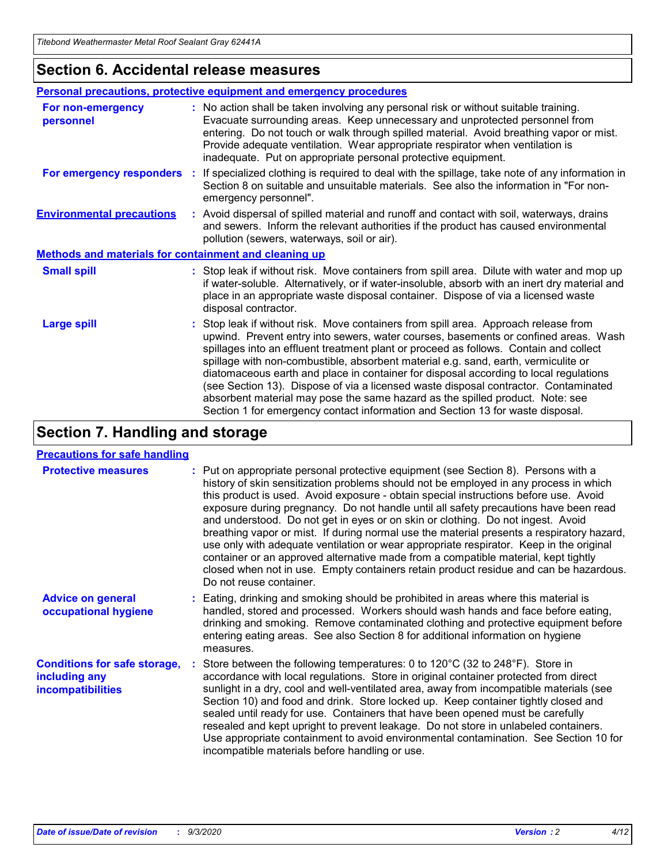### **Section 6. Accidental release measures**

|                                                              | Personal precautions, protective equipment and emergency procedures                                                                                                                                                                                                                                                                                                                                                                                                                                                                                                                                                                                                                                          |  |  |  |
|--------------------------------------------------------------|--------------------------------------------------------------------------------------------------------------------------------------------------------------------------------------------------------------------------------------------------------------------------------------------------------------------------------------------------------------------------------------------------------------------------------------------------------------------------------------------------------------------------------------------------------------------------------------------------------------------------------------------------------------------------------------------------------------|--|--|--|
| For non-emergency<br>personnel                               | : No action shall be taken involving any personal risk or without suitable training.<br>Evacuate surrounding areas. Keep unnecessary and unprotected personnel from<br>entering. Do not touch or walk through spilled material. Avoid breathing vapor or mist.<br>Provide adequate ventilation. Wear appropriate respirator when ventilation is<br>inadequate. Put on appropriate personal protective equipment.                                                                                                                                                                                                                                                                                             |  |  |  |
| For emergency responders                                     | : If specialized clothing is required to deal with the spillage, take note of any information in<br>Section 8 on suitable and unsuitable materials. See also the information in "For non-<br>emergency personnel".                                                                                                                                                                                                                                                                                                                                                                                                                                                                                           |  |  |  |
| <b>Environmental precautions</b>                             | : Avoid dispersal of spilled material and runoff and contact with soil, waterways, drains<br>and sewers. Inform the relevant authorities if the product has caused environmental<br>pollution (sewers, waterways, soil or air).                                                                                                                                                                                                                                                                                                                                                                                                                                                                              |  |  |  |
| <b>Methods and materials for containment and cleaning up</b> |                                                                                                                                                                                                                                                                                                                                                                                                                                                                                                                                                                                                                                                                                                              |  |  |  |
| <b>Small spill</b>                                           | : Stop leak if without risk. Move containers from spill area. Dilute with water and mop up<br>if water-soluble. Alternatively, or if water-insoluble, absorb with an inert dry material and<br>place in an appropriate waste disposal container. Dispose of via a licensed waste<br>disposal contractor.                                                                                                                                                                                                                                                                                                                                                                                                     |  |  |  |
| <b>Large spill</b>                                           | : Stop leak if without risk. Move containers from spill area. Approach release from<br>upwind. Prevent entry into sewers, water courses, basements or confined areas. Wash<br>spillages into an effluent treatment plant or proceed as follows. Contain and collect<br>spillage with non-combustible, absorbent material e.g. sand, earth, vermiculite or<br>diatomaceous earth and place in container for disposal according to local regulations<br>(see Section 13). Dispose of via a licensed waste disposal contractor. Contaminated<br>absorbent material may pose the same hazard as the spilled product. Note: see<br>Section 1 for emergency contact information and Section 13 for waste disposal. |  |  |  |

# **Section 7. Handling and storage**

### **Precautions for safe handling**

| <b>Protective measures</b>                                                       | : Put on appropriate personal protective equipment (see Section 8). Persons with a<br>history of skin sensitization problems should not be employed in any process in which<br>this product is used. Avoid exposure - obtain special instructions before use. Avoid<br>exposure during pregnancy. Do not handle until all safety precautions have been read<br>and understood. Do not get in eyes or on skin or clothing. Do not ingest. Avoid<br>breathing vapor or mist. If during normal use the material presents a respiratory hazard,<br>use only with adequate ventilation or wear appropriate respirator. Keep in the original<br>container or an approved alternative made from a compatible material, kept tightly<br>closed when not in use. Empty containers retain product residue and can be hazardous.<br>Do not reuse container. |
|----------------------------------------------------------------------------------|--------------------------------------------------------------------------------------------------------------------------------------------------------------------------------------------------------------------------------------------------------------------------------------------------------------------------------------------------------------------------------------------------------------------------------------------------------------------------------------------------------------------------------------------------------------------------------------------------------------------------------------------------------------------------------------------------------------------------------------------------------------------------------------------------------------------------------------------------|
| <b>Advice on general</b><br>occupational hygiene                                 | : Eating, drinking and smoking should be prohibited in areas where this material is<br>handled, stored and processed. Workers should wash hands and face before eating,<br>drinking and smoking. Remove contaminated clothing and protective equipment before<br>entering eating areas. See also Section 8 for additional information on hygiene<br>measures.                                                                                                                                                                                                                                                                                                                                                                                                                                                                                    |
| <b>Conditions for safe storage,</b><br>including any<br><i>incompatibilities</i> | Store between the following temperatures: 0 to 120°C (32 to 248°F). Store in<br>accordance with local regulations. Store in original container protected from direct<br>sunlight in a dry, cool and well-ventilated area, away from incompatible materials (see<br>Section 10) and food and drink. Store locked up. Keep container tightly closed and<br>sealed until ready for use. Containers that have been opened must be carefully<br>resealed and kept upright to prevent leakage. Do not store in unlabeled containers.<br>Use appropriate containment to avoid environmental contamination. See Section 10 for<br>incompatible materials before handling or use.                                                                                                                                                                         |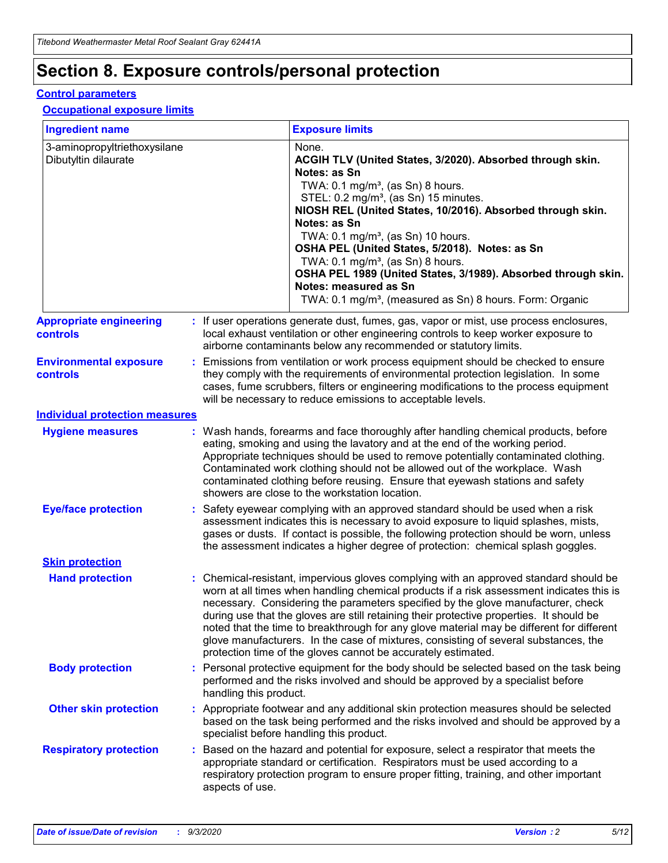# **Section 8. Exposure controls/personal protection**

### **Control parameters**

#### **Occupational exposure limits**

| <b>Ingredient name</b>                               |    |                        | <b>Exposure limits</b>                                                                                                                                                                                                                                                                                                                                                                                                                                                                                                                                                                                                 |
|------------------------------------------------------|----|------------------------|------------------------------------------------------------------------------------------------------------------------------------------------------------------------------------------------------------------------------------------------------------------------------------------------------------------------------------------------------------------------------------------------------------------------------------------------------------------------------------------------------------------------------------------------------------------------------------------------------------------------|
| 3-aminopropyltriethoxysilane<br>Dibutyltin dilaurate |    |                        | None.<br>ACGIH TLV (United States, 3/2020). Absorbed through skin.<br>Notes: as Sn<br>TWA: $0.1 \text{ mg/m}^3$ , (as Sn) 8 hours.<br>STEL: 0.2 mg/m <sup>3</sup> , (as Sn) 15 minutes.<br>NIOSH REL (United States, 10/2016). Absorbed through skin.<br>Notes: as Sn<br>TWA: 0.1 mg/m <sup>3</sup> , (as Sn) 10 hours.<br>OSHA PEL (United States, 5/2018). Notes: as Sn<br>TWA: $0.1 \text{ mg/m}^3$ , (as Sn) 8 hours.<br>OSHA PEL 1989 (United States, 3/1989). Absorbed through skin.<br>Notes: measured as Sn<br>TWA: 0.1 mg/m <sup>3</sup> , (measured as Sn) 8 hours. Form: Organic                            |
| <b>Appropriate engineering</b><br>controls           |    |                        | : If user operations generate dust, fumes, gas, vapor or mist, use process enclosures,<br>local exhaust ventilation or other engineering controls to keep worker exposure to<br>airborne contaminants below any recommended or statutory limits.                                                                                                                                                                                                                                                                                                                                                                       |
| <b>Environmental exposure</b><br><b>controls</b>     |    |                        | Emissions from ventilation or work process equipment should be checked to ensure<br>they comply with the requirements of environmental protection legislation. In some<br>cases, fume scrubbers, filters or engineering modifications to the process equipment<br>will be necessary to reduce emissions to acceptable levels.                                                                                                                                                                                                                                                                                          |
| <b>Individual protection measures</b>                |    |                        |                                                                                                                                                                                                                                                                                                                                                                                                                                                                                                                                                                                                                        |
| <b>Hygiene measures</b>                              |    |                        | : Wash hands, forearms and face thoroughly after handling chemical products, before<br>eating, smoking and using the lavatory and at the end of the working period.<br>Appropriate techniques should be used to remove potentially contaminated clothing.<br>Contaminated work clothing should not be allowed out of the workplace. Wash<br>contaminated clothing before reusing. Ensure that eyewash stations and safety<br>showers are close to the workstation location.                                                                                                                                            |
| <b>Eye/face protection</b>                           |    |                        | Safety eyewear complying with an approved standard should be used when a risk<br>assessment indicates this is necessary to avoid exposure to liquid splashes, mists,<br>gases or dusts. If contact is possible, the following protection should be worn, unless<br>the assessment indicates a higher degree of protection: chemical splash goggles.                                                                                                                                                                                                                                                                    |
| <b>Skin protection</b>                               |    |                        |                                                                                                                                                                                                                                                                                                                                                                                                                                                                                                                                                                                                                        |
| <b>Hand protection</b>                               |    |                        | : Chemical-resistant, impervious gloves complying with an approved standard should be<br>worn at all times when handling chemical products if a risk assessment indicates this is<br>necessary. Considering the parameters specified by the glove manufacturer, check<br>during use that the gloves are still retaining their protective properties. It should be<br>noted that the time to breakthrough for any glove material may be different for different<br>glove manufacturers. In the case of mixtures, consisting of several substances, the<br>protection time of the gloves cannot be accurately estimated. |
| <b>Body protection</b>                               |    | handling this product. | Personal protective equipment for the body should be selected based on the task being<br>performed and the risks involved and should be approved by a specialist before                                                                                                                                                                                                                                                                                                                                                                                                                                                |
| <b>Other skin protection</b>                         |    |                        | Appropriate footwear and any additional skin protection measures should be selected<br>based on the task being performed and the risks involved and should be approved by a<br>specialist before handling this product.                                                                                                                                                                                                                                                                                                                                                                                                |
| <b>Respiratory protection</b>                        | ÷. | aspects of use.        | Based on the hazard and potential for exposure, select a respirator that meets the<br>appropriate standard or certification. Respirators must be used according to a<br>respiratory protection program to ensure proper fitting, training, and other important                                                                                                                                                                                                                                                                                                                                                         |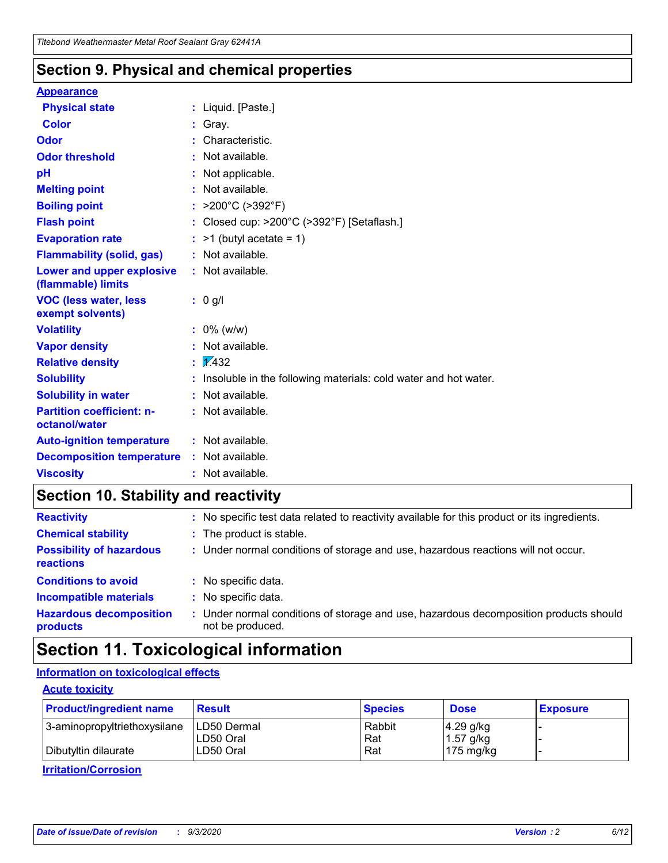### **Section 9. Physical and chemical properties**

### **Appearance**

| <b>Physical state</b>                             | : Liquid. [Paste.]                                              |
|---------------------------------------------------|-----------------------------------------------------------------|
| <b>Color</b>                                      | Gray.                                                           |
| Odor                                              | Characteristic.                                                 |
| <b>Odor threshold</b>                             | Not available.                                                  |
| рH                                                | Not applicable.                                                 |
| <b>Melting point</b>                              | : Not available.                                                |
| <b>Boiling point</b>                              | >200°C (>392°F)                                                 |
| <b>Flash point</b>                                | Closed cup: >200°C (>392°F) [Setaflash.]                        |
| <b>Evaporation rate</b>                           | $:$ >1 (butyl acetate = 1)                                      |
| <b>Flammability (solid, gas)</b>                  | : Not available.                                                |
| Lower and upper explosive<br>(flammable) limits   | : Not available.                                                |
| <b>VOC (less water, less)</b><br>exempt solvents) | : 0 g/l                                                         |
| <b>Volatility</b>                                 | $: 0\%$ (w/w)                                                   |
| <b>Vapor density</b>                              | Not available.                                                  |
| <b>Relative density</b>                           | $\mathbf{1}$ $\mathbf{\sqrt{432}}$                              |
| <b>Solubility</b>                                 | Insoluble in the following materials: cold water and hot water. |
| <b>Solubility in water</b>                        | Not available.                                                  |
| <b>Partition coefficient: n-</b><br>octanol/water | $:$ Not available.                                              |
| <b>Auto-ignition temperature</b>                  | : Not available.                                                |
| <b>Decomposition temperature</b>                  | : Not available.                                                |
| <b>Viscosity</b>                                  | $:$ Not available.                                              |

# **Section 10. Stability and reactivity**

| <b>Reactivity</b>                            |    | : No specific test data related to reactivity available for this product or its ingredients.            |
|----------------------------------------------|----|---------------------------------------------------------------------------------------------------------|
| <b>Chemical stability</b>                    |    | : The product is stable.                                                                                |
| <b>Possibility of hazardous</b><br>reactions |    | : Under normal conditions of storage and use, hazardous reactions will not occur.                       |
| <b>Conditions to avoid</b>                   |    | : No specific data.                                                                                     |
| <b>Incompatible materials</b>                | ٠. | No specific data.                                                                                       |
| <b>Hazardous decomposition</b><br>products   | ÷. | Under normal conditions of storage and use, hazardous decomposition products should<br>not be produced. |

# **Section 11. Toxicological information**

### **Information on toxicological effects**

### **Acute toxicity**

| <b>Product/ingredient name</b> | <b>Result</b>           | <b>Species</b> | <b>Dose</b>                | <b>Exposure</b> |
|--------------------------------|-------------------------|----------------|----------------------------|-----------------|
| 3-aminopropyltriethoxysilane   | <b>ILD50 Dermal</b>     | Rabbit         | 4.29 g/kg                  |                 |
| Dibutyltin dilaurate           | ILD50 Oral<br>LD50 Oral | Rat<br>Rat     | $1.57$ g/kg<br>175 $mg/kg$ |                 |
|                                |                         |                |                            |                 |

**Irritation/Corrosion**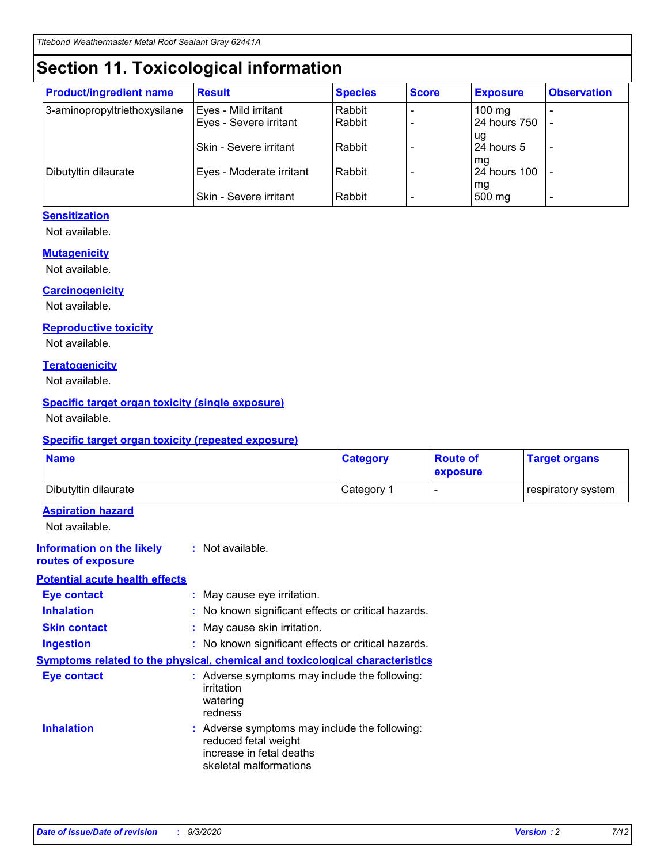# **Section 11. Toxicological information**

| <b>Product/ingredient name</b> | <b>Result</b>                 | <b>Species</b> | <b>Score</b> | <b>Exposure</b>    | <b>Observation</b>       |
|--------------------------------|-------------------------------|----------------|--------------|--------------------|--------------------------|
| 3-aminopropyltriethoxysilane   | Eyes - Mild irritant          | Rabbit         |              | $100 \text{ mg}$   |                          |
|                                | Eyes - Severe irritant        | Rabbit         |              | 24 hours 750       |                          |
|                                |                               |                |              | ug                 |                          |
|                                | <b>Skin - Severe irritant</b> | Rabbit         |              | 24 hours 5         | $\overline{\phantom{0}}$ |
| Dibutyltin dilaurate           | Eyes - Moderate irritant      | Rabbit         |              | mg<br>24 hours 100 |                          |
|                                |                               |                |              | mg                 |                          |
|                                | Skin - Severe irritant        | Rabbit         |              | 500 mg             | -                        |

### **Sensitization**

Not available.

### **Mutagenicity**

Not available.

#### **Carcinogenicity**

Not available.

#### **Reproductive toxicity**

Not available.

#### **Teratogenicity**

Not available.

### **Specific target organ toxicity (single exposure)**

Not available.

### **Specific target organ toxicity (repeated exposure)**

| <b>Name</b>                                                                  |                                                                                                                             | <b>Category</b>                                     | <b>Route of</b><br>exposure | <b>Target organs</b> |  |
|------------------------------------------------------------------------------|-----------------------------------------------------------------------------------------------------------------------------|-----------------------------------------------------|-----------------------------|----------------------|--|
| Dibutyltin dilaurate                                                         |                                                                                                                             | Category 1                                          |                             | respiratory system   |  |
| <b>Aspiration hazard</b><br>Not available.                                   |                                                                                                                             |                                                     |                             |                      |  |
| <b>Information on the likely</b><br>routes of exposure                       | : Not available.                                                                                                            |                                                     |                             |                      |  |
| <b>Potential acute health effects</b>                                        |                                                                                                                             |                                                     |                             |                      |  |
| <b>Eye contact</b>                                                           | : May cause eye irritation.                                                                                                 |                                                     |                             |                      |  |
| <b>Inhalation</b>                                                            |                                                                                                                             | : No known significant effects or critical hazards. |                             |                      |  |
| <b>Skin contact</b>                                                          |                                                                                                                             | : May cause skin irritation.                        |                             |                      |  |
| <b>Ingestion</b>                                                             |                                                                                                                             | : No known significant effects or critical hazards. |                             |                      |  |
| Symptoms related to the physical, chemical and toxicological characteristics |                                                                                                                             |                                                     |                             |                      |  |
| <b>Eye contact</b>                                                           | : Adverse symptoms may include the following:<br>irritation<br>watering<br>redness                                          |                                                     |                             |                      |  |
| <b>Inhalation</b>                                                            | : Adverse symptoms may include the following:<br>reduced fetal weight<br>increase in fetal deaths<br>skeletal malformations |                                                     |                             |                      |  |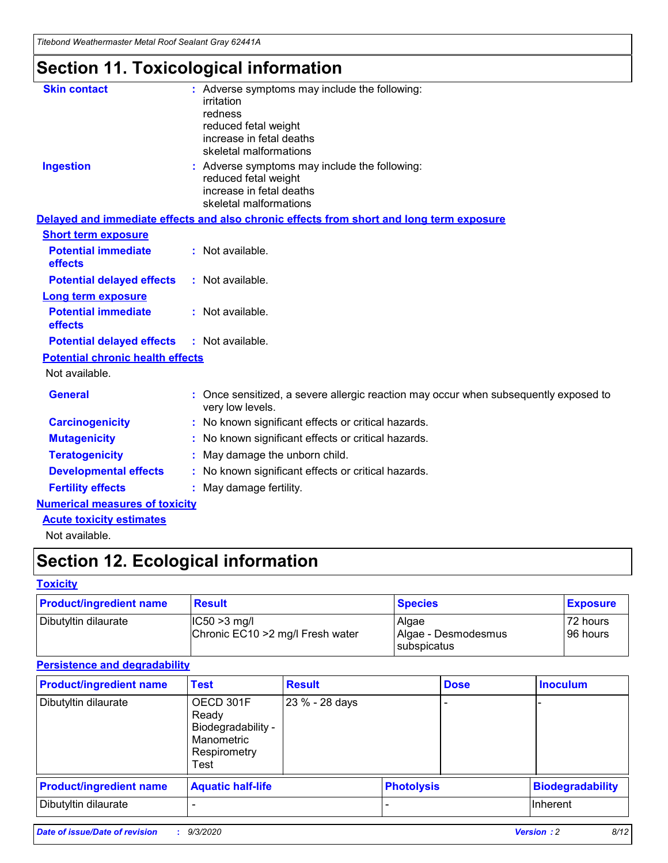*Titebond Weathermaster Metal Roof Sealant Gray 62441A*

# **Section 11. Toxicological information**

| <b>Skin contact</b>                     | : Adverse symptoms may include the following:<br>irritation<br>redness<br>reduced fetal weight<br>increase in fetal deaths<br>skeletal malformations |
|-----------------------------------------|------------------------------------------------------------------------------------------------------------------------------------------------------|
| <b>Ingestion</b>                        | : Adverse symptoms may include the following:<br>reduced fetal weight<br>increase in fetal deaths<br>skeletal malformations                          |
|                                         | Delayed and immediate effects and also chronic effects from short and long term exposure                                                             |
| <b>Short term exposure</b>              |                                                                                                                                                      |
| <b>Potential immediate</b><br>effects   | : Not available.                                                                                                                                     |
| <b>Potential delayed effects</b>        | : Not available.                                                                                                                                     |
| <b>Long term exposure</b>               |                                                                                                                                                      |
| <b>Potential immediate</b><br>effects   | : Not available.                                                                                                                                     |
| <b>Potential delayed effects</b>        | : Not available.                                                                                                                                     |
| <b>Potential chronic health effects</b> |                                                                                                                                                      |
| Not available.                          |                                                                                                                                                      |
| <b>General</b>                          | : Once sensitized, a severe allergic reaction may occur when subsequently exposed to<br>very low levels.                                             |
| <b>Carcinogenicity</b>                  | : No known significant effects or critical hazards.                                                                                                  |
| <b>Mutagenicity</b>                     | : No known significant effects or critical hazards.                                                                                                  |
| <b>Teratogenicity</b>                   | May damage the unborn child.                                                                                                                         |
| <b>Developmental effects</b>            | : No known significant effects or critical hazards.                                                                                                  |
| <b>Fertility effects</b>                | : May damage fertility.                                                                                                                              |
| <b>Numerical measures of toxicity</b>   |                                                                                                                                                      |
| <b>Acute toxicity estimates</b>         |                                                                                                                                                      |
| الملحلة والمستحيط والمسالم              |                                                                                                                                                      |

Not available.

# **Section 12. Ecological information**

### **Toxicity**

| <b>Product/ingredient name</b> | <b>Result</b>                                       | <b>Species</b>               | <b>Exposure</b>       |
|--------------------------------|-----------------------------------------------------|------------------------------|-----------------------|
| Dibutyltin dilaurate           | $ CC50>3$ mg/l<br>Chronic EC10 > 2 mg/l Fresh water | Algae<br>Algae - Desmodesmus | 72 hours<br>196 hours |
|                                |                                                     | <b>I</b> subspicatus         |                       |

### **Persistence and degradability**

| <b>Product/ingredient name</b> | <b>Test</b>                                                                    | <b>Result</b>  |                   | <b>Dose</b> | <b>Inoculum</b>         |
|--------------------------------|--------------------------------------------------------------------------------|----------------|-------------------|-------------|-------------------------|
| Dibutyltin dilaurate           | OECD 301F<br>Ready<br>Biodegradability -<br>Manometric<br>Respirometry<br>Test | 23 % - 28 days |                   |             |                         |
| <b>Product/ingredient name</b> | <b>Aquatic half-life</b>                                                       |                | <b>Photolysis</b> |             | <b>Biodegradability</b> |
| Dibutyltin dilaurate           |                                                                                |                |                   |             | <b>Inherent</b>         |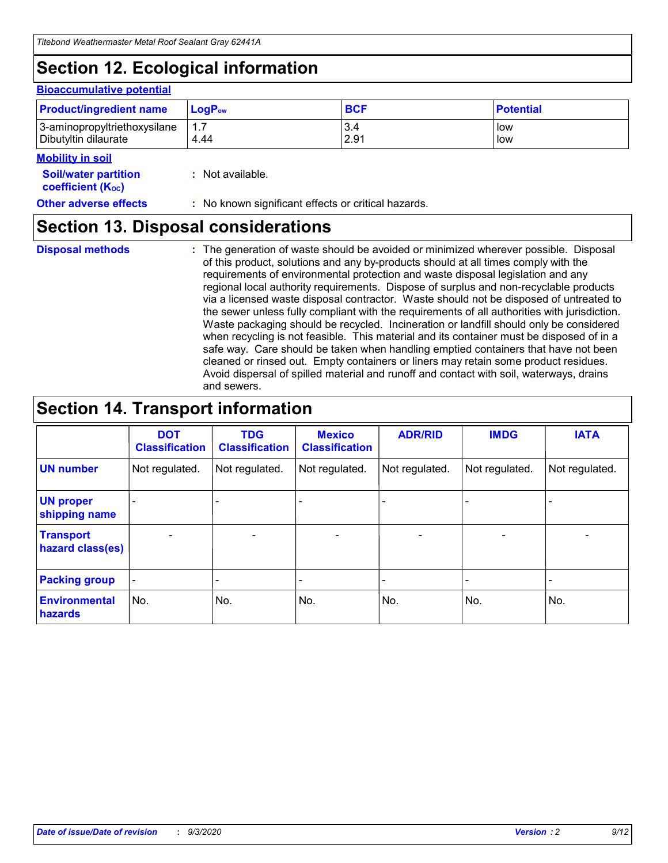# **Section 12. Ecological information**

#### **Bioaccumulative potential**

| <b>Product/ingredient name</b> | $LoaPow$ | <b>BCF</b> | <b>Potential</b> |
|--------------------------------|----------|------------|------------------|
| 3-aminopropyltriethoxysilane   | 1.7      | 3.4        | low              |
| Dibutyltin dilaurate           | 4.44     | 2.91       | low              |

#### **Mobility in soil**

| <b>Soil/water partition</b> | : Not available. |
|-----------------------------|------------------|
| <b>coefficient (Koc)</b>    |                  |

**Other adverse effects** : No known significant effects or critical hazards.

# **Section 13. Disposal considerations**

**Disposal methods :**

The generation of waste should be avoided or minimized wherever possible. Disposal of this product, solutions and any by-products should at all times comply with the requirements of environmental protection and waste disposal legislation and any regional local authority requirements. Dispose of surplus and non-recyclable products via a licensed waste disposal contractor. Waste should not be disposed of untreated to the sewer unless fully compliant with the requirements of all authorities with jurisdiction. Waste packaging should be recycled. Incineration or landfill should only be considered when recycling is not feasible. This material and its container must be disposed of in a safe way. Care should be taken when handling emptied containers that have not been cleaned or rinsed out. Empty containers or liners may retain some product residues. Avoid dispersal of spilled material and runoff and contact with soil, waterways, drains and sewers.

# **Section 14. Transport information**

|                                      | <b>DOT</b><br><b>Classification</b> | <b>TDG</b><br><b>Classification</b> | <b>Mexico</b><br><b>Classification</b> | <b>ADR/RID</b>           | <b>IMDG</b>              | <b>IATA</b>    |
|--------------------------------------|-------------------------------------|-------------------------------------|----------------------------------------|--------------------------|--------------------------|----------------|
| <b>UN number</b>                     | Not regulated.                      | Not regulated.                      | Not regulated.                         | Not regulated.           | Not regulated.           | Not regulated. |
| <b>UN proper</b><br>shipping name    |                                     |                                     |                                        |                          |                          |                |
| <b>Transport</b><br>hazard class(es) |                                     | $\overline{\phantom{0}}$            | $\qquad \qquad \blacksquare$           | $\overline{\phantom{0}}$ | $\overline{\phantom{0}}$ |                |
| <b>Packing group</b>                 |                                     |                                     |                                        |                          |                          |                |
| <b>Environmental</b><br>hazards      | No.                                 | No.                                 | No.                                    | No.                      | No.                      | No.            |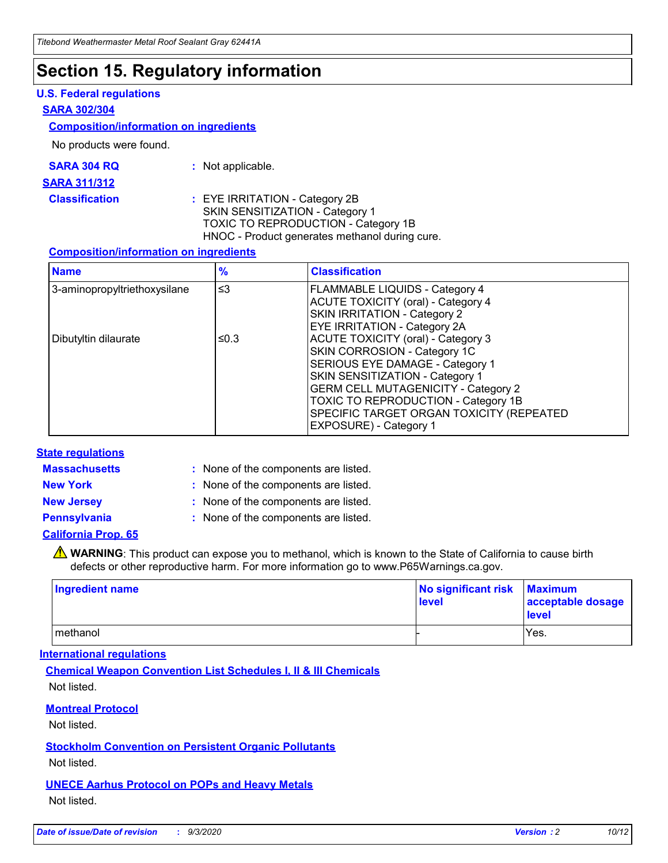# **Section 15. Regulatory information**

### **U.S. Federal regulations**

#### **SARA 302/304**

### **Composition/information on ingredients**

No products were found.

| SARA 304 RQ | Not applicable. |
|-------------|-----------------|
|-------------|-----------------|

#### **SARA 311/312**

#### **Classification :** EYE IRRITATION - Category 2B SKIN SENSITIZATION - Category 1 TOXIC TO REPRODUCTION - Category 1B HNOC - Product generates methanol during cure.

### **Composition/information on ingredients**

| <b>Name</b>                  | $\frac{9}{6}$ | <b>Classification</b>                                                                                                                                                                                                                                                                                      |
|------------------------------|---------------|------------------------------------------------------------------------------------------------------------------------------------------------------------------------------------------------------------------------------------------------------------------------------------------------------------|
| 3-aminopropyltriethoxysilane | $\leq$ 3      | <b>FLAMMABLE LIQUIDS - Category 4</b><br><b>ACUTE TOXICITY (oral) - Category 4</b><br><b>SKIN IRRITATION - Category 2</b><br>EYE IRRITATION - Category 2A                                                                                                                                                  |
| Dibutyltin dilaurate         | ≤0.3          | <b>ACUTE TOXICITY (oral) - Category 3</b><br>SKIN CORROSION - Category 1C<br>SERIOUS EYE DAMAGE - Category 1<br>SKIN SENSITIZATION - Category 1<br><b>GERM CELL MUTAGENICITY - Category 2</b><br>TOXIC TO REPRODUCTION - Category 1B<br>SPECIFIC TARGET ORGAN TOXICITY (REPEATED<br>EXPOSURE) - Category 1 |

### **State regulations**

**Massachusetts :**

: None of the components are listed.

**New York :** None of the components are listed.

**New Jersey :** None of the components are listed.

**Pennsylvania :** None of the components are listed.

### **California Prop. 65**

WARNING: This product can expose you to methanol, which is known to the State of California to cause birth defects or other reproductive harm. For more information go to www.P65Warnings.ca.gov.

| Ingredient name | No significant risk Maximum<br>level | acceptable dosage<br><b>level</b> |
|-----------------|--------------------------------------|-----------------------------------|
| I methanol      |                                      | Yes.                              |

### **International regulations**

**Chemical Weapon Convention List Schedules I, II & III Chemicals** Not listed.

### **Montreal Protocol**

Not listed.

**Stockholm Convention on Persistent Organic Pollutants**

Not listed.

### **UNECE Aarhus Protocol on POPs and Heavy Metals** Not listed.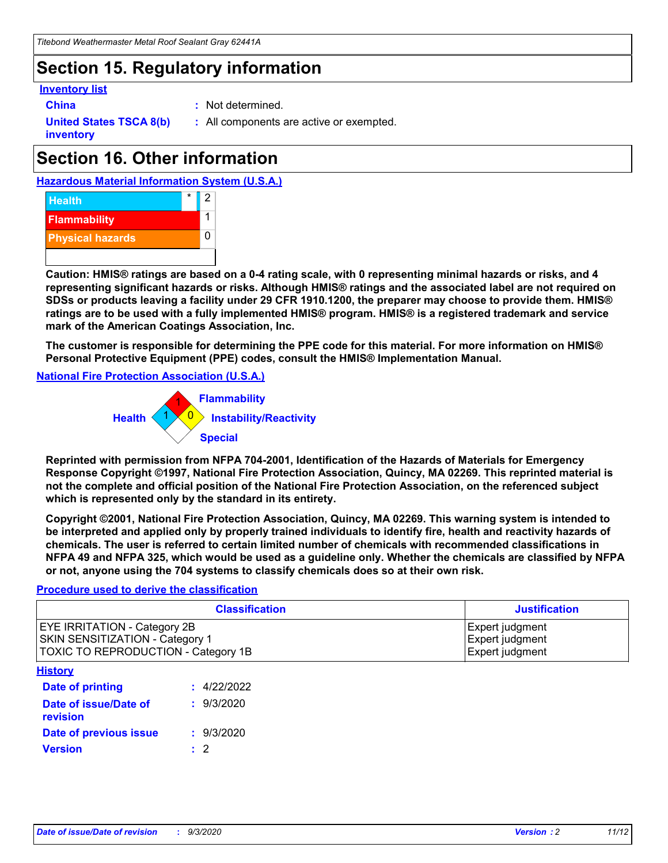# **Section 15. Regulatory information**

### **Inventory list**

- 
- **China :** Not determined.

**United States TSCA 8(b) inventory**

**:** All components are active or exempted.

# **Section 16. Other information**





**Caution: HMIS® ratings are based on a 0-4 rating scale, with 0 representing minimal hazards or risks, and 4 representing significant hazards or risks. Although HMIS® ratings and the associated label are not required on SDSs or products leaving a facility under 29 CFR 1910.1200, the preparer may choose to provide them. HMIS® ratings are to be used with a fully implemented HMIS® program. HMIS® is a registered trademark and service mark of the American Coatings Association, Inc.**

**The customer is responsible for determining the PPE code for this material. For more information on HMIS® Personal Protective Equipment (PPE) codes, consult the HMIS® Implementation Manual.**

**National Fire Protection Association (U.S.A.)**



**Reprinted with permission from NFPA 704-2001, Identification of the Hazards of Materials for Emergency Response Copyright ©1997, National Fire Protection Association, Quincy, MA 02269. This reprinted material is not the complete and official position of the National Fire Protection Association, on the referenced subject which is represented only by the standard in its entirety.**

**Copyright ©2001, National Fire Protection Association, Quincy, MA 02269. This warning system is intended to be interpreted and applied only by properly trained individuals to identify fire, health and reactivity hazards of chemicals. The user is referred to certain limited number of chemicals with recommended classifications in NFPA 49 and NFPA 325, which would be used as a guideline only. Whether the chemicals are classified by NFPA or not, anyone using the 704 systems to classify chemicals does so at their own risk.**

### **Procedure used to derive the classification**

| <b>Classification</b>                                                                                         | <b>Justification</b>                                  |
|---------------------------------------------------------------------------------------------------------------|-------------------------------------------------------|
| <b>EYE IRRITATION - Category 2B</b><br>SKIN SENSITIZATION - Category 1<br>TOXIC TO REPRODUCTION - Category 1B | Expert judgment<br>Expert judgment<br>Expert judgment |
| <b>History</b>                                                                                                |                                                       |

| .                                 |             |
|-----------------------------------|-------------|
| Date of printing                  | : 4/22/2022 |
| Date of issue/Date of<br>revision | : 9/3/2020  |
| Date of previous issue            | : 9/3/2020  |
| <b>Version</b>                    | $\cdot$ 2   |
|                                   |             |